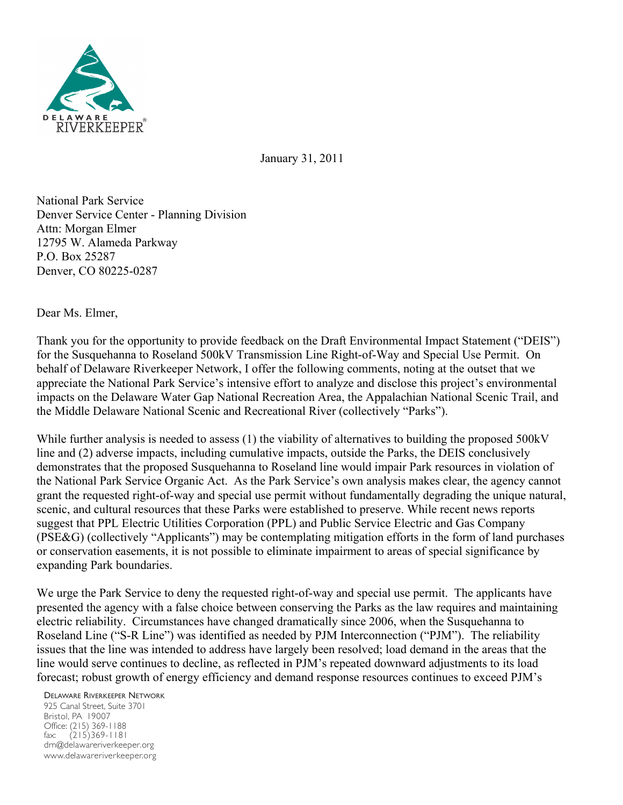

January 31, 2011

National Park Service Denver Service Center - Planning Division Attn: Morgan Elmer 12795 W. Alameda Parkway P.O. Box 25287 Denver, CO 80225-0287

Dear Ms. Elmer,

Thank you for the opportunity to provide feedback on the Draft Environmental Impact Statement ("DEIS") for the Susquehanna to Roseland 500kV Transmission Line Right-of-Way and Special Use Permit. On behalf of Delaware Riverkeeper Network, I offer the following comments, noting at the outset that we appreciate the National Park Service's intensive effort to analyze and disclose this project's environmental impacts on the Delaware Water Gap National Recreation Area, the Appalachian National Scenic Trail, and the Middle Delaware National Scenic and Recreational River (collectively "Parks").

While further analysis is needed to assess (1) the viability of alternatives to building the proposed 500kV line and (2) adverse impacts, including cumulative impacts, outside the Parks, the DEIS conclusively demonstrates that the proposed Susquehanna to Roseland line would impair Park resources in violation of the National Park Service Organic Act. As the Park Service's own analysis makes clear, the agency cannot grant the requested right-of-way and special use permit without fundamentally degrading the unique natural, scenic, and cultural resources that these Parks were established to preserve. While recent news reports suggest that PPL Electric Utilities Corporation (PPL) and Public Service Electric and Gas Company (PSE&G) (collectively "Applicants") may be contemplating mitigation efforts in the form of land purchases or conservation easements, it is not possible to eliminate impairment to areas of special significance by expanding Park boundaries.

We urge the Park Service to deny the requested right-of-way and special use permit. The applicants have presented the agency with a false choice between conserving the Parks as the law requires and maintaining electric reliability. Circumstances have changed dramatically since 2006, when the Susquehanna to Roseland Line ("S-R Line") was identified as needed by PJM Interconnection ("PJM"). The reliability issues that the line was intended to address have largely been resolved; load demand in the areas that the line would serve continues to decline, as reflected in PJM's repeated downward adjustments to its load forecast; robust growth of energy efficiency and demand response resources continues to exceed PJM's

DELAWARE RIVERKEEPER NETWORK

925 Canal Street, Suite 3701 Bristol, PA 19007 Office: (215) 369-1188 fax: (215)369-1181 drn@delawareriverkeeper.org www.delawareriverkeeper.org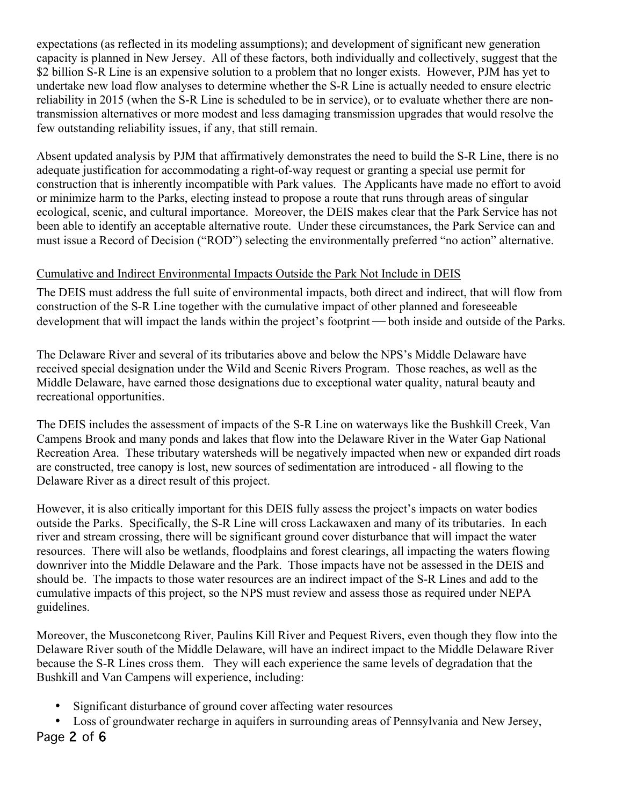expectations (as reflected in its modeling assumptions); and development of significant new generation capacity is planned in New Jersey. All of these factors, both individually and collectively, suggest that the \$2 billion S-R Line is an expensive solution to a problem that no longer exists. However, PJM has yet to undertake new load flow analyses to determine whether the S-R Line is actually needed to ensure electric reliability in 2015 (when the S-R Line is scheduled to be in service), or to evaluate whether there are nontransmission alternatives or more modest and less damaging transmission upgrades that would resolve the few outstanding reliability issues, if any, that still remain.

Absent updated analysis by PJM that affirmatively demonstrates the need to build the S-R Line, there is no adequate justification for accommodating a right-of-way request or granting a special use permit for construction that is inherently incompatible with Park values. The Applicants have made no effort to avoid or minimize harm to the Parks, electing instead to propose a route that runs through areas of singular ecological, scenic, and cultural importance. Moreover, the DEIS makes clear that the Park Service has not been able to identify an acceptable alternative route. Under these circumstances, the Park Service can and must issue a Record of Decision ("ROD") selecting the environmentally preferred "no action" alternative.

# Cumulative and Indirect Environmental Impacts Outside the Park Not Include in DEIS

The DEIS must address the full suite of environmental impacts, both direct and indirect, that will flow from construction of the S-R Line together with the cumulative impact of other planned and foreseeable development that will impact the lands within the project's footprint — both inside and outside of the Parks.

The Delaware River and several of its tributaries above and below the NPS's Middle Delaware have received special designation under the Wild and Scenic Rivers Program. Those reaches, as well as the Middle Delaware, have earned those designations due to exceptional water quality, natural beauty and recreational opportunities.

The DEIS includes the assessment of impacts of the S-R Line on waterways like the Bushkill Creek, Van Campens Brook and many ponds and lakes that flow into the Delaware River in the Water Gap National Recreation Area. These tributary watersheds will be negatively impacted when new or expanded dirt roads are constructed, tree canopy is lost, new sources of sedimentation are introduced - all flowing to the Delaware River as a direct result of this project.

However, it is also critically important for this DEIS fully assess the project's impacts on water bodies outside the Parks. Specifically, the S-R Line will cross Lackawaxen and many of its tributaries. In each river and stream crossing, there will be significant ground cover disturbance that will impact the water resources. There will also be wetlands, floodplains and forest clearings, all impacting the waters flowing downriver into the Middle Delaware and the Park. Those impacts have not be assessed in the DEIS and should be. The impacts to those water resources are an indirect impact of the S-R Lines and add to the cumulative impacts of this project, so the NPS must review and assess those as required under NEPA guidelines.

Moreover, the Musconetcong River, Paulins Kill River and Pequest Rivers, even though they flow into the Delaware River south of the Middle Delaware, will have an indirect impact to the Middle Delaware River because the S-R Lines cross them. They will each experience the same levels of degradation that the Bushkill and Van Campens will experience, including:

- Significant disturbance of ground cover affecting water resources
- Loss of groundwater recharge in aquifers in surrounding areas of Pennsylvania and New Jersey,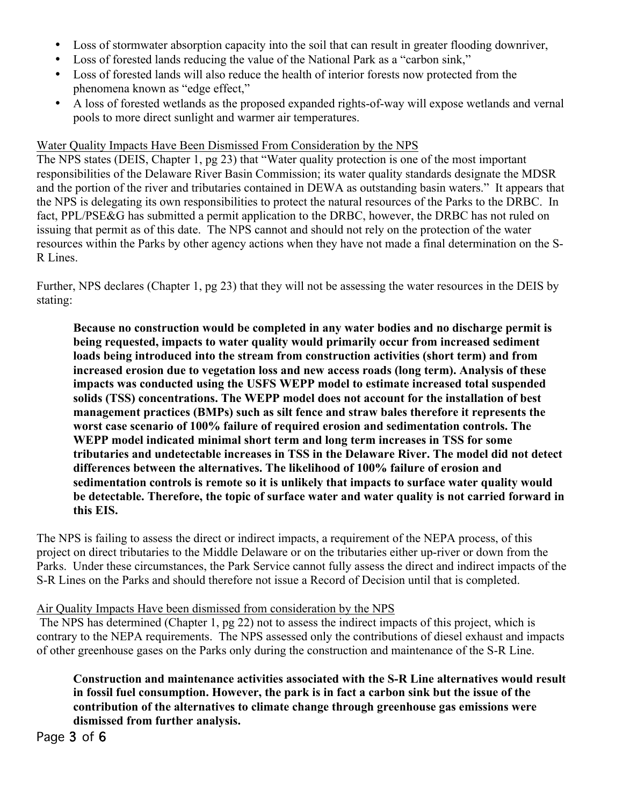- Loss of stormwater absorption capacity into the soil that can result in greater flooding downriver,
- Loss of forested lands reducing the value of the National Park as a "carbon sink,"
- Loss of forested lands will also reduce the health of interior forests now protected from the phenomena known as "edge effect,"
- A loss of forested wetlands as the proposed expanded rights-of-way will expose wetlands and vernal pools to more direct sunlight and warmer air temperatures.

#### Water Quality Impacts Have Been Dismissed From Consideration by the NPS

The NPS states (DEIS, Chapter 1, pg 23) that "Water quality protection is one of the most important responsibilities of the Delaware River Basin Commission; its water quality standards designate the MDSR and the portion of the river and tributaries contained in DEWA as outstanding basin waters." It appears that the NPS is delegating its own responsibilities to protect the natural resources of the Parks to the DRBC. In fact, PPL/PSE&G has submitted a permit application to the DRBC, however, the DRBC has not ruled on issuing that permit as of this date. The NPS cannot and should not rely on the protection of the water resources within the Parks by other agency actions when they have not made a final determination on the S-R Lines.

Further, NPS declares (Chapter 1, pg 23) that they will not be assessing the water resources in the DEIS by stating:

**Because no construction would be completed in any water bodies and no discharge permit is being requested, impacts to water quality would primarily occur from increased sediment loads being introduced into the stream from construction activities (short term) and from increased erosion due to vegetation loss and new access roads (long term). Analysis of these impacts was conducted using the USFS WEPP model to estimate increased total suspended solids (TSS) concentrations. The WEPP model does not account for the installation of best management practices (BMPs) such as silt fence and straw bales therefore it represents the worst case scenario of 100% failure of required erosion and sedimentation controls. The WEPP model indicated minimal short term and long term increases in TSS for some tributaries and undetectable increases in TSS in the Delaware River. The model did not detect differences between the alternatives. The likelihood of 100% failure of erosion and sedimentation controls is remote so it is unlikely that impacts to surface water quality would be detectable. Therefore, the topic of surface water and water quality is not carried forward in this EIS.**

The NPS is failing to assess the direct or indirect impacts, a requirement of the NEPA process, of this project on direct tributaries to the Middle Delaware or on the tributaries either up-river or down from the Parks. Under these circumstances, the Park Service cannot fully assess the direct and indirect impacts of the S-R Lines on the Parks and should therefore not issue a Record of Decision until that is completed.

### Air Quality Impacts Have been dismissed from consideration by the NPS

The NPS has determined (Chapter 1, pg 22) not to assess the indirect impacts of this project, which is contrary to the NEPA requirements. The NPS assessed only the contributions of diesel exhaust and impacts of other greenhouse gases on the Parks only during the construction and maintenance of the S-R Line.

**Construction and maintenance activities associated with the S-R Line alternatives would result in fossil fuel consumption. However, the park is in fact a carbon sink but the issue of the contribution of the alternatives to climate change through greenhouse gas emissions were dismissed from further analysis.**

Page 3 of 6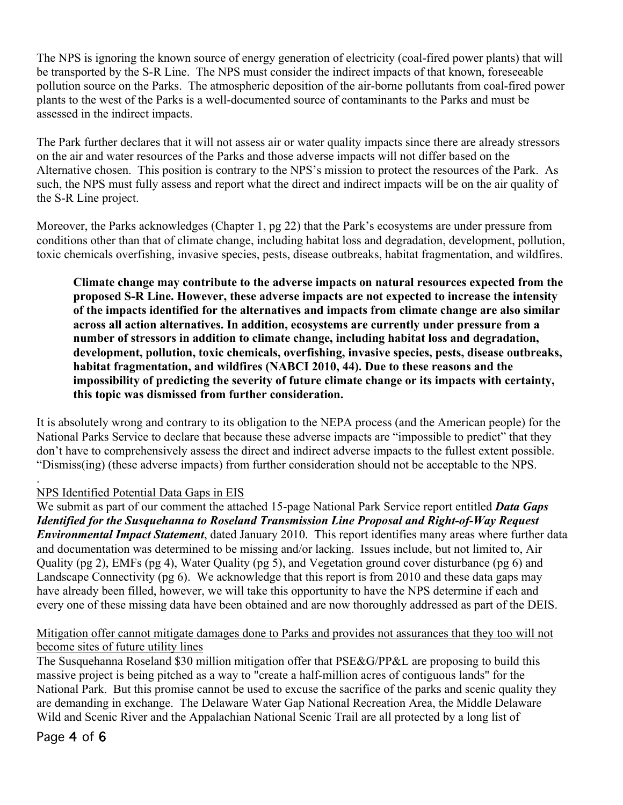The NPS is ignoring the known source of energy generation of electricity (coal-fired power plants) that will be transported by the S-R Line. The NPS must consider the indirect impacts of that known, foreseeable pollution source on the Parks. The atmospheric deposition of the air-borne pollutants from coal-fired power plants to the west of the Parks is a well-documented source of contaminants to the Parks and must be assessed in the indirect impacts.

The Park further declares that it will not assess air or water quality impacts since there are already stressors on the air and water resources of the Parks and those adverse impacts will not differ based on the Alternative chosen. This position is contrary to the NPS's mission to protect the resources of the Park. As such, the NPS must fully assess and report what the direct and indirect impacts will be on the air quality of the S-R Line project.

Moreover, the Parks acknowledges (Chapter 1, pg 22) that the Park's ecosystems are under pressure from conditions other than that of climate change, including habitat loss and degradation, development, pollution, toxic chemicals overfishing, invasive species, pests, disease outbreaks, habitat fragmentation, and wildfires.

**Climate change may contribute to the adverse impacts on natural resources expected from the proposed S-R Line. However, these adverse impacts are not expected to increase the intensity of the impacts identified for the alternatives and impacts from climate change are also similar across all action alternatives. In addition, ecosystems are currently under pressure from a number of stressors in addition to climate change, including habitat loss and degradation, development, pollution, toxic chemicals, overfishing, invasive species, pests, disease outbreaks, habitat fragmentation, and wildfires (NABCI 2010, 44). Due to these reasons and the impossibility of predicting the severity of future climate change or its impacts with certainty, this topic was dismissed from further consideration.**

It is absolutely wrong and contrary to its obligation to the NEPA process (and the American people) for the National Parks Service to declare that because these adverse impacts are "impossible to predict" that they don't have to comprehensively assess the direct and indirect adverse impacts to the fullest extent possible. "Dismiss(ing) (these adverse impacts) from further consideration should not be acceptable to the NPS.

### NPS Identified Potential Data Gaps in EIS

We submit as part of our comment the attached 15-page National Park Service report entitled *Data Gaps Identified for the Susquehanna to Roseland Transmission Line Proposal and Right-of-Way Request Environmental Impact Statement*, dated January 2010. This report identifies many areas where further data and documentation was determined to be missing and/or lacking. Issues include, but not limited to, Air Quality (pg 2), EMFs (pg 4), Water Quality (pg 5), and Vegetation ground cover disturbance (pg 6) and Landscape Connectivity (pg 6). We acknowledge that this report is from 2010 and these data gaps may have already been filled, however, we will take this opportunity to have the NPS determine if each and every one of these missing data have been obtained and are now thoroughly addressed as part of the DEIS.

## Mitigation offer cannot mitigate damages done to Parks and provides not assurances that they too will not become sites of future utility lines

The Susquehanna Roseland \$30 million mitigation offer that PSE&G/PP&L are proposing to build this massive project is being pitched as a way to "create a half-million acres of contiguous lands" for the National Park. But this promise cannot be used to excuse the sacrifice of the parks and scenic quality they are demanding in exchange. The Delaware Water Gap National Recreation Area, the Middle Delaware Wild and Scenic River and the Appalachian National Scenic Trail are all protected by a long list of

Page 4 of 6

.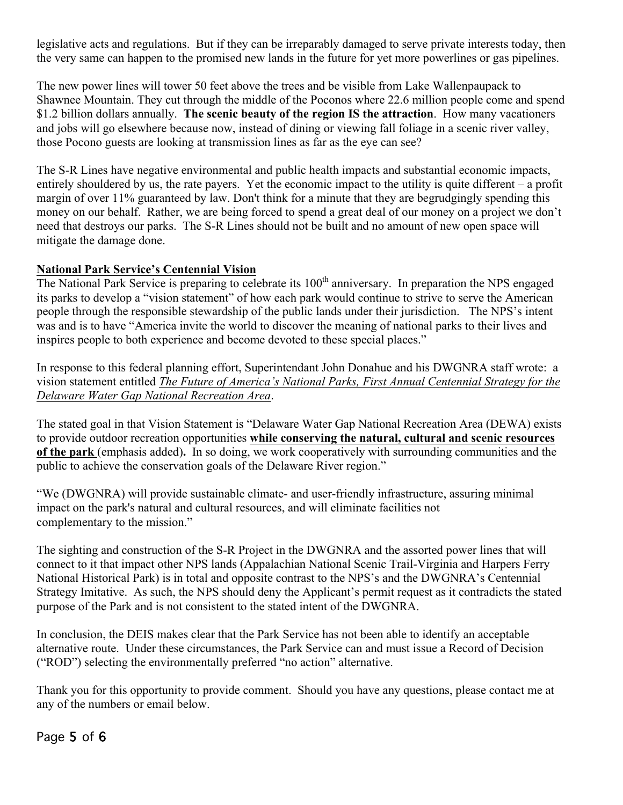legislative acts and regulations. But if they can be irreparably damaged to serve private interests today, then the very same can happen to the promised new lands in the future for yet more powerlines or gas pipelines.

The new power lines will tower 50 feet above the trees and be visible from Lake Wallenpaupack to Shawnee Mountain. They cut through the middle of the Poconos where 22.6 million people come and spend \$1.2 billion dollars annually. **The scenic beauty of the region IS the attraction**. How many vacationers and jobs will go elsewhere because now, instead of dining or viewing fall foliage in a scenic river valley, those Pocono guests are looking at transmission lines as far as the eye can see?

The S-R Lines have negative environmental and public health impacts and substantial economic impacts, entirely shouldered by us, the rate payers. Yet the economic impact to the utility is quite different – a profit margin of over 11% guaranteed by law. Don't think for a minute that they are begrudgingly spending this money on our behalf. Rather, we are being forced to spend a great deal of our money on a project we don't need that destroys our parks. The S-R Lines should not be built and no amount of new open space will mitigate the damage done.

### **National Park Service's Centennial Vision**

The National Park Service is preparing to celebrate its 100<sup>th</sup> anniversary. In preparation the NPS engaged its parks to develop a "vision statement" of how each park would continue to strive to serve the American people through the responsible stewardship of the public lands under their jurisdiction. The NPS's intent was and is to have "America invite the world to discover the meaning of national parks to their lives and inspires people to both experience and become devoted to these special places."

In response to this federal planning effort, Superintendant John Donahue and his DWGNRA staff wrote: a vision statement entitled *The Future of America's National Parks, First Annual Centennial Strategy for the Delaware Water Gap National Recreation Area*.

The stated goal in that Vision Statement is "Delaware Water Gap National Recreation Area (DEWA) exists to provide outdoor recreation opportunities **while conserving the natural, cultural and scenic resources of the park** (emphasis added)**.** In so doing, we work cooperatively with surrounding communities and the public to achieve the conservation goals of the Delaware River region."

"We (DWGNRA) will provide sustainable climate- and user-friendly infrastructure, assuring minimal impact on the park's natural and cultural resources, and will eliminate facilities not complementary to the mission."

The sighting and construction of the S-R Project in the DWGNRA and the assorted power lines that will connect to it that impact other NPS lands (Appalachian National Scenic Trail-Virginia and Harpers Ferry National Historical Park) is in total and opposite contrast to the NPS's and the DWGNRA's Centennial Strategy Imitative. As such, the NPS should deny the Applicant's permit request as it contradicts the stated purpose of the Park and is not consistent to the stated intent of the DWGNRA.

In conclusion, the DEIS makes clear that the Park Service has not been able to identify an acceptable alternative route. Under these circumstances, the Park Service can and must issue a Record of Decision ("ROD") selecting the environmentally preferred "no action" alternative.

Thank you for this opportunity to provide comment. Should you have any questions, please contact me at any of the numbers or email below.

Page 5 of 6